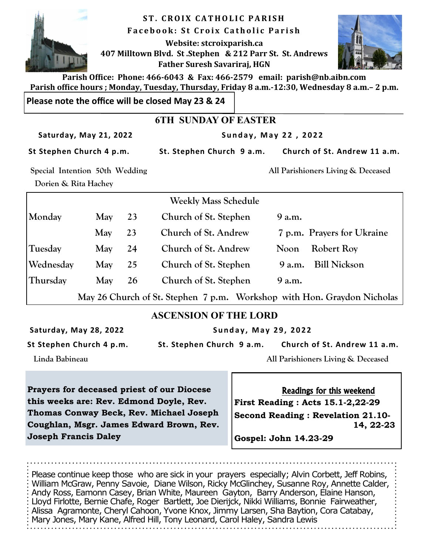

**ST. CROIX CATHOLIC PARISH F a c e b o o k : S t C r o i x C a t h o l i c P a r i s h Website: stcroixparish.ca 407 Milltown Blvd. St .Stephen & 212 Parr St. St. Andrews Father Suresh Savariraj, HGN**



**Parish Office: Phone: 466-6043 & Fax: 466-2579 email: parish@nb.aibn.com Parish office hours ; Monday, Tuesday, Thursday, Friday 8 a.m.-12:30, Wednesday 8 a.m.– 2 p.m.**

**Please note the office will be closed May 23 & 24**

## **6TH SUNDAY OF EASTER**

Saturday, May 21, 2022 **Sunday, May 22, 2022** 

St Stephen Church 4 p.m. St. Stephen Church 9 a.m. Church of St. Andrew 11 a.m.

 **Dorien & Rita Hachey** 

**Special Intention 50th Wedding All Parishioners Living & Deceased** 

|           |     |    | <b>Weekly Mass Schedule</b> |                                                                         |
|-----------|-----|----|-----------------------------|-------------------------------------------------------------------------|
| Monday    | May | 23 | Church of St. Stephen       | 9 a.m.                                                                  |
|           | May | 23 | Church of St. Andrew        | 7 p.m. Prayers for Ukraine                                              |
| Tuesday   | May | 24 | Church of St. Andrew        | <b>Robert Roy</b><br>Noon                                               |
| Wednesday | May | 25 | Church of St. Stephen       | <b>Bill Nickson</b><br>9 a.m.                                           |
| Thursday  | May | 26 | Church of St. Stephen       | 9 a.m.                                                                  |
|           |     |    |                             | May 26 Church of St. Stephen 7 p.m. Workshop with Hon. Graydon Nicholas |

## **ASCENSION OF THE LORD**

Saturday, May 28, 2022 **1988 Sunday, May 29, 2022** 

**St Stephen Church 4 p.m. St. Stephen Church 9 a.m. Church of St. Andrew 11 a.m.** 

 **Linda Babineau All Parishioners Living & Deceased** 

**Prayers for deceased priest of our Diocese this weeks are: Rev. Edmond Doyle, Rev. Thomas Conway Beck, Rev. Michael Joseph Coughlan, Msgr. James Edward Brown, Rev. Joseph Francis Daley**

Readings for this weekend

**First Reading : Acts 15.1-2,22-29 Second Reading : Revelation 21.10- 14, 22-23** 

**Gospel: John 14.23-29**

Please continue keep those who are sick in your prayers especially; Alvin Corbett, Jeff Robins, William McGraw, Penny Savoie, Diane Wilson, Ricky McGlinchey, Susanne Roy, Annette Calder, Andy Ross, Eamonn Casey, Brian White, Maureen Gayton, Barry Anderson, Elaine Hanson, Lloyd Firlotte, Bernie Chafe, Roger Bartlett, Joe Dierijck, Nikki Williams, Bonnie Fairweather, Alissa Agramonte, Cheryl Cahoon, Yvone Knox, Jimmy Larsen, Sha Baytion, Cora Catabay, Mary Jones, Mary Kane, Alfred Hill, Tony Leonard, Carol Haley, Sandra Lewis